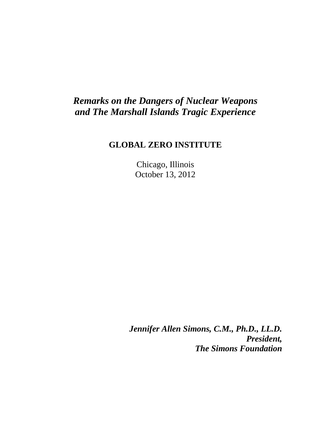## *Remarks on the Dangers of Nuclear Weapons and The Marshall Islands Tragic Experience*

## **GLOBAL ZERO INSTITUTE**

Chicago, Illinois October 13, 2012

*Jennifer Allen Simons, C.M., Ph.D., LL.D. President, The Simons Foundation*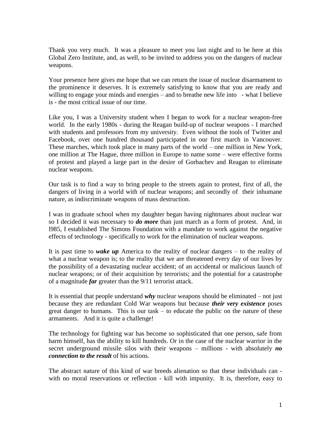Thank you very much. It was a pleasure to meet you last night and to be here at this Global Zero Institute, and, as well, to be invited to address you on the dangers of nuclear weapons.

Your presence here gives me hope that we can return the issue of nuclear disarmament to the prominence it deserves. It is extremely satisfying to know that you are ready and willing to engage your minds and energies – and to breathe new life into - what I believe is - the most critical issue of our time.

Like you, I was a University student when I began to work for a nuclear weapon-free world. In the early 1980s - during the Reagan build-up of nuclear weapons - I marched with students and professors from my university. Even without the tools of Twitter and Facebook, over one hundred thousand participated in our first march in Vancouver. These marches, which took place in many parts of the world – one million in New York, one million at The Hague, three million in Europe to name some – were effective forms of protest and played a large part in the desire of Gorbachev and Reagan to eliminate nuclear weapons.

Our task is to find a way to bring people to the streets again to protest, first of all, the dangers of living in a world with of nuclear weapons; and secondly of their inhumane nature, as indiscriminate weapons of mass destruction.

I was in graduate school when my daughter began having nightmares about nuclear war so I decided it was necessary to *do more* than just march as a form of protest. And, in l985, I established The Simons Foundation with a mandate to work against the negative effects of technology - specifically to work for the elimination of nuclear weapons.

It is past time to *wake up* America to the reality of nuclear dangers – to the reality of what a nuclear weapon is; to the reality that we are threatened every day of our lives by the possibility of a devastating nuclear accident; of an accidental or malicious launch of nuclear weapons; or of their acquisition by terrorists; and the potential for a catastrophe of a magnitude *far* greater than the 9/11 terrorist attack.

It is essential that people understand *why* nuclear weapons should be eliminated – not just because they are redundant Cold War weapons but because *their very existence* poses great danger to humans. This is our task – to educate the public on the nature of these armaments. And it is quite a challenge!

The technology for fighting war has become so sophisticated that one person, safe from harm himself, has the ability to kill hundreds. Or in the case of the nuclear warrior in the secret underground missile silos with their weapons – millions - with absolutely *no connection to the result* of his actions.

The abstract nature of this kind of war breeds alienation so that these individuals can with no moral reservations or reflection - kill with impunity. It is, therefore, easy to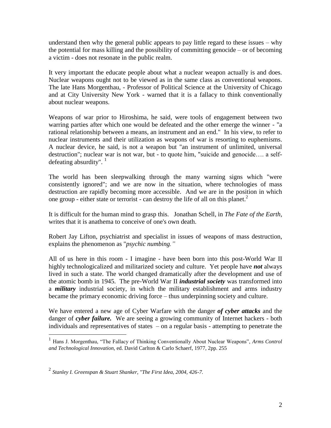understand then why the general public appears to pay little regard to these issues – why the potential for mass killing and the possibility of committing genocide – or of becoming a victim - does not resonate in the public realm.

It very important the educate people about what a nuclear weapon actually is and does. Nuclear weapons ought not to be viewed as in the same class as conventional weapons. The late Hans Morgenthau, - Professor of Political Science at the University of Chicago and at City University New York - warned that it is a fallacy to think conventionally about nuclear weapons.

Weapons of war prior to Hiroshima, he said, were tools of engagement between two warring parties after which one would be defeated and the other emerge the winner - "a rational relationship between a means, an instrument and an end." In his view, to refer to nuclear instruments and their utilization as weapons of war is resorting to euphemisms. A nuclear device, he said, is not a weapon but "an instrument of unlimited, universal destruction"; nuclear war is not war, but - to quote him, "suicide and genocide…. a selfdefeating absurdity".  $\frac{1}{1}$ 

The world has been sleepwalking through the many warning signs which "were consistently ignored"; and we are now in the situation, where technologies of mass destruction are rapidly becoming more accessible. And we are in the position in which one group - either state or terrorist - can destroy the life of all on this planet.<sup>2</sup>

It is difficult for the human mind to grasp this. Jonathan Schell, in *The Fate of the Earth,*  writes that it is anathema to conceive of one's own death.

Robert Jay Lifton, psychiatrist and specialist in issues of weapons of mass destruction, explains the phenomenon as "*psychic numbing."*

All of us here in this room - I imagine - have been born into this post-World War II highly technologicalized and militarized society and culture. Yet people have *not* always lived in such a state. The world changed dramatically after the development and use of the atomic bomb in 1945. The pre-World War II *industrial society* was transformed into a *military* industrial society, in which the military establishment and arms industry became the primary economic driving force – thus underpinning society and culture.

We have entered a new age of Cyber Warfare with the danger *of cyber attacks* and the danger of *cyber failure.* We are seeing a growing community of Internet hackers - both individuals and representatives of states – on a regular basis - attempting to penetrate the

 $\overline{a}$ 

<sup>&</sup>lt;sup>1</sup> Hans J. Morgenthau, "The Fallacy of Thinking Conventionally About Nuclear Weapons", *Arms Control and Technological Innovation,* ed. David Carlton & Carlo Schaerf, 1977, 2pp. 255

<sup>2</sup> *Stanley I. Greenspan & Stuart Shanker, "The First Idea, 2004, 426-7.*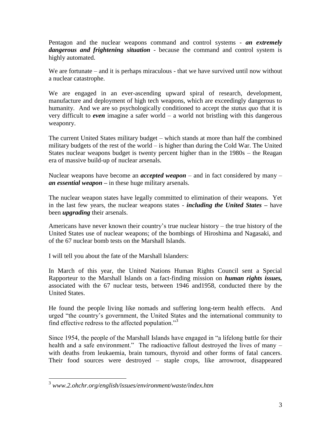Pentagon and the nuclear weapons command and control systems - *an extremely dangerous and frightening situation* - because the command and control system is highly automated.

We are fortunate – and it is perhaps miraculous - that we have survived until now without a nuclear catastrophe.

We are engaged in an ever-ascending upward spiral of research, development, manufacture and deployment of high tech weapons, which are exceedingly dangerous to humanity. And we are so psychologically conditioned to accept the *status quo* that it is very difficult to *even* imagine a safer world – a world not bristling with this dangerous weaponry.

The current United States military budget – which stands at more than half the combined military budgets of the rest of the world – is higher than during the Cold War. The United States nuclear weapons budget is twenty percent higher than in the 1980s – the Reagan era of massive build-up of nuclear arsenals.

Nuclear weapons have become an *accepted weapon* – and in fact considered by many – *an essential weapon –* in these huge military arsenals.

The nuclear weapon states have legally committed to elimination of their weapons. Yet in the last few years, the nuclear weapons states - *including the United States –* have been *upgrading* their arsenals.

Americans have never known their country's true nuclear history – the true history of the United States use of nuclear weapons; of the bombings of Hiroshima and Nagasaki, and of the 67 nuclear bomb tests on the Marshall Islands.

I will tell you about the fate of the Marshall Islanders:

In March of this year, the United Nations Human Rights Council sent a Special Rapporteur to the Marshall Islands on a fact-finding mission on *human rights issues,*  associated with the 67 nuclear tests, between 1946 and1958, conducted there by the United States.

He found the people living like nomads and suffering long-term health effects. And urged "the country's government, the United States and the international community to find effective redress to the affected population."<sup>3</sup>

Since 1954, the people of the Marshall Islands have engaged in "a lifelong battle for their health and a safe environment." The radioactive fallout destroyed the lives of many – with deaths from leukaemia, brain tumours, thyroid and other forms of fatal cancers. Their food sources were destroyed – staple crops, like arrowroot, disappeared

 3 *www.2.ohchr.org/english/issues/environment/waste/index.htm*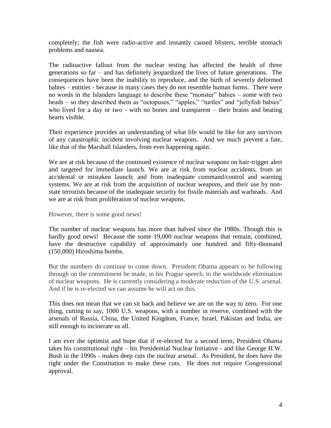completely; the fish were radio-active and instantly caused blisters, terrible stomach problems and nausea.

The radioactive fallout from the nuclear testing has affected the health of three generations so far – and has definitely jeopardized the lives of future generations. The consequences have been the inability to reproduce, and the birth of severely deformed babies – entities - because in many cases they do not resemble human forms. There were no words in the Islanders language to describe these "monster" babies – some with two heads – so they described them as "octopuses," "apples," "turtles" and "jellyfish babies" who lived for a day or two - with no bones and transparent – their brains and beating hearts visible.

Their experience provides an understanding of what life would be like for any survivors of any catastrophic incident involving nuclear weapons. And we much prevent a fate, like that of the Marshall Islanders, from ever happening again.

We are at risk because of the continued existence of nuclear weapons on hair-trigger alert and targeted for immediate launch. We are at risk from nuclear accidents, from an accidental or mistaken launch; and from inadequate command/control and warning systems. We are at risk from the acquisition of nuclear weapons, and their use by nonstate terrorists because of the inadequate security for fissile materials and warheads. And we are at risk from proliferation of nuclear weapons.

However, there is some good news!

The number of nuclear weapons has more than halved since the 1980s. Though this is hardly good news! Because the some 19,000 nuclear weapons that remain, combined, have the destructive capability of approximately one hundred and fifty-thousand (150,000) Hiroshima bombs.

But the numbers do continue to come down. President Obama appears to be following through on the commitment he made, in his Prague speech, to the worldwide elimination of nuclear weapons. He is currently considering a moderate reduction of the U.S. arsenal. And if he is re-elected we can assume he will act on this.

This does not mean that we can sit back and believe we are on the way to zero. For one thing, cutting to say, 1000 U.S. weapons, with a number in reserve, combined with the arsenals of Russia, China, the United Kingdom, France, Israel, Pakistan and India, are still enough to incinerate us all.

I am ever the optimist and hope that if re-elected for a second term, President Obama takes his constitutional right – his Presidential Nuclear Initiative - and like George H.W. Bush in the 1990s - makes deep cuts the nuclear arsenal. As President, he does have the right under the Constitution to make these cuts. He does not require Congressional approval.